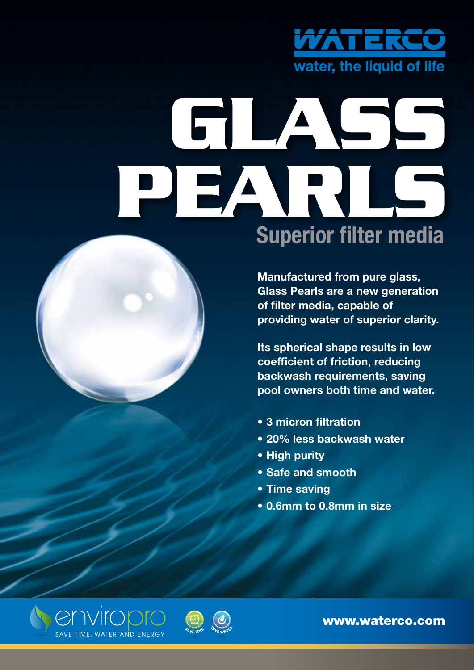

# **GLASS PEARLS Superior filter media**

**Manufactured from pure glass, Glass Pearls are a new generation of filter media, capable of providing water of superior clarity.**

**Its spherical shape results in low coefficient of friction, reducing backwash requirements, saving pool owners both time and water.** 

- **• 3 micron filtration**
- **• 20% less backwash water**
- **• High purity**
- **• Safe and smooth**
- **• Time saving**
- **• 0.6mm to 0.8mm in size**





www.waterco.com